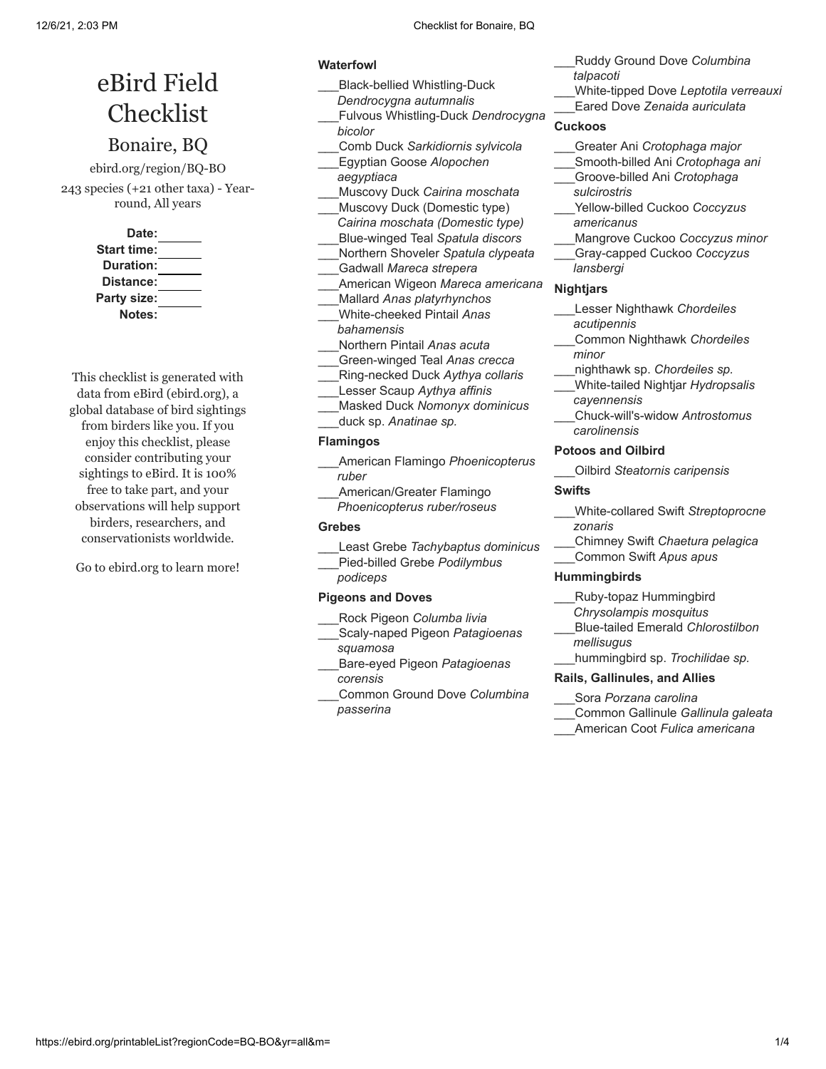# eBird Field Checklist

# Bonaire, BQ

ebird.org/region/BQ-BO 243 species (+21 other taxa) - Yearround, All years

> **Date: Start time: Duration: Distance: Party size: Notes:**

This checklist is generated with data from eBird (ebird.org), a global database of bird sightings from birders like you. If you enjoy this checklist, please consider contributing your sightings to eBird. It is 100% free to take part, and your observations will help support birders, researchers, and conservationists worldwide.

Go to ebird.org to learn more!

# **Waterfowl**

- \_\_\_Black-bellied Whistling-Duck *Dendrocygna autumnalis* \_\_\_Fulvous Whistling-Duck *Dendrocygna*
- *bicolor*
- \_\_\_Comb Duck *Sarkidiornis sylvicola*
- \_\_\_Egyptian Goose *Alopochen*
- *aegyptiaca* \_\_\_Muscovy Duck *Cairina moschata* Muscovy Duck (Domestic type)
- *Cairina moschata (Domestic type)* \_\_\_Blue-winged Teal *Spatula discors*
- \_\_\_Northern Shoveler *Spatula clypeata* \_\_\_Gadwall *Mareca strepera*
- 
- \_\_\_American Wigeon *Mareca americana* \_\_\_Mallard *Anas platyrhynchos*
- \_\_\_White-cheeked Pintail *Anas bahamensis*
- \_\_\_Northern Pintail *Anas acuta*
- \_\_\_Green-winged Teal *Anas crecca*
- \_\_\_Ring-necked Duck *Aythya collaris*
- \_\_\_Lesser Scaup *Aythya affinis*
- \_\_\_Masked Duck *Nomonyx dominicus*
- \_\_\_duck sp. *Anatinae sp.*

# **Flamingos**

- \_\_\_American Flamingo *Phoenicopterus ruber*
- \_\_\_American/Greater Flamingo *Phoenicopterus ruber/roseus*

# **Grebes**

- \_\_\_Least Grebe *Tachybaptus dominicus*
- \_\_\_Pied-billed Grebe *Podilymbus*
- *podiceps*

# **Pigeons and Doves**

- \_\_\_Rock Pigeon *Columba livia*
- \_\_\_Scaly-naped Pigeon *Patagioenas squamosa*
- \_\_\_Bare-eyed Pigeon *Patagioenas corensis*
- \_\_\_Common Ground Dove *Columbina passerina*
- \_\_\_Ruddy Ground Dove *Columbina*
- *talpacoti*
- \_\_\_White-tipped Dove *Leptotila verreauxi*
- \_\_\_Eared Dove *Zenaida auriculata*

# **Cuckoos**

- \_\_\_Greater Ani *Crotophaga major*
- \_\_\_Smooth-billed Ani *Crotophaga ani*
- \_\_\_Groove-billed Ani *Crotophaga sulcirostris*
- \_\_\_Yellow-billed Cuckoo *Coccyzus americanus*
- \_\_\_Mangrove Cuckoo *Coccyzus minor*
- \_\_\_Gray-capped Cuckoo *Coccyzus lansbergi*

# **Nightjars**

- \_\_\_Lesser Nighthawk *Chordeiles acutipennis*
- \_\_\_Common Nighthawk *Chordeiles minor*
	- \_\_\_nighthawk sp. *Chordeiles sp.*
- \_\_\_White-tailed Nightjar *Hydropsalis cayennensis*
- \_\_\_Chuck-will's-widow *Antrostomus carolinensis*

# **Potoos and Oilbird**

\_\_\_Oilbird *Steatornis caripensis*

# **Swifts**

- \_\_\_White-collared Swift *Streptoprocne zonaris*
- \_\_\_Chimney Swift *Chaetura pelagica* \_\_\_Common Swift *Apus apus*

# **Hummingbirds**

- \_\_\_Ruby-topaz Hummingbird
- *Chrysolampis mosquitus*
- \_\_\_Blue-tailed Emerald *Chlorostilbon mellisugus*
- \_\_\_hummingbird sp. *Trochilidae sp.*

# **Rails, Gallinules, and Allies**

- \_\_\_Sora *Porzana carolina*
- \_\_\_Common Gallinule *Gallinula galeata*
- \_\_\_American Coot *Fulica americana*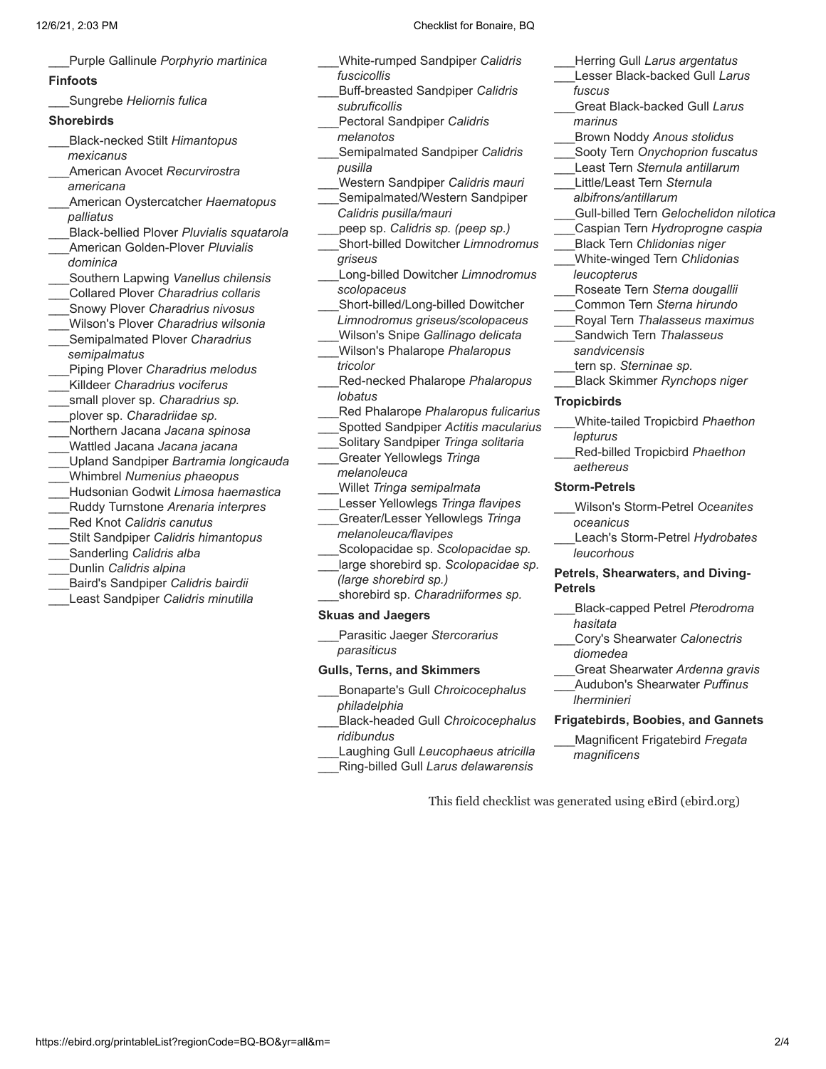\_\_\_Purple Gallinule *Porphyrio martinica*

### **Finfoots**

\_\_\_Sungrebe *Heliornis fulica*

### **Shorebirds**

- \_\_\_Black-necked Stilt *Himantopus mexicanus*
- \_\_\_American Avocet *Recurvirostra americana*
- \_\_\_American Oystercatcher *Haematopus palliatus*
- \_\_\_Black-bellied Plover *Pluvialis squatarola*
- \_\_\_American Golden-Plover *Pluvialis dominica*
- \_\_\_Southern Lapwing *Vanellus chilensis*
- \_\_\_Collared Plover *Charadrius collaris*
- \_\_\_Snowy Plover *Charadrius nivosus*
- \_\_\_Wilson's Plover *Charadrius wilsonia* \_\_\_Semipalmated Plover *Charadrius*
- *semipalmatus*
- \_\_\_Piping Plover *Charadrius melodus*
- \_\_\_Killdeer *Charadrius vociferus*
- \_\_\_small plover sp. *Charadrius sp.*
- \_\_\_plover sp. *Charadriidae sp.*
- \_\_\_Northern Jacana *Jacana spinosa*
- \_\_\_Wattled Jacana *Jacana jacana*
- \_\_\_Upland Sandpiper *Bartramia longicauda*
- \_\_\_Whimbrel *Numenius phaeopus*
- \_\_\_Hudsonian Godwit *Limosa haemastica*
- \_\_\_Ruddy Turnstone *Arenaria interpres*
- \_\_\_Red Knot *Calidris canutus*
- \_\_\_Stilt Sandpiper *Calidris himantopus*
- \_\_\_Sanderling *Calidris alba*
- \_\_\_Dunlin *Calidris alpina*
- \_\_\_Baird's Sandpiper *Calidris bairdii*
- \_\_\_Least Sandpiper *Calidris minutilla*
- \_\_\_White-rumped Sandpiper *Calidris fuscicollis*
- \_\_\_Buff-breasted Sandpiper *Calidris subruficollis*
- \_\_\_Pectoral Sandpiper *Calidris melanotos*
- \_\_\_Semipalmated Sandpiper *Calidris pusilla*
- \_\_\_Western Sandpiper *Calidris mauri*
- Semipalmated/Western Sandpiper *Calidris pusilla/mauri*
- \_\_\_peep sp. *Calidris sp. (peep sp.)*
- \_\_\_Short-billed Dowitcher *Limnodromus griseus*
- \_\_\_Long-billed Dowitcher *Limnodromus scolopaceus*
- \_\_\_Short-billed/Long-billed Dowitcher *Limnodromus griseus/scolopaceus* \_\_\_Wilson's Snipe *Gallinago delicata*
- \_\_\_Wilson's Phalarope *Phalaropus tricolor*
- \_\_\_Red-necked Phalarope *Phalaropus lobatus*
- \_\_\_Red Phalarope *Phalaropus fulicarius*
- \_\_\_Spotted Sandpiper *Actitis macularius*
- \_\_\_Solitary Sandpiper *Tringa solitaria*
- \_\_\_Greater Yellowlegs *Tringa melanoleuca*
- \_\_\_Willet *Tringa semipalmata*
- \_\_\_Lesser Yellowlegs *Tringa flavipes* \_\_\_Greater/Lesser Yellowlegs *Tringa*
- *melanoleuca/flavipes*
- \_\_\_Scolopacidae sp. *Scolopacidae sp.* \_\_\_large shorebird sp. *Scolopacidae sp.*
- *(large shorebird sp.)*
- \_\_\_shorebird sp. *Charadriiformes sp.*

## **Skuas and Jaegers**

- \_\_\_Parasitic Jaeger *Stercorarius parasiticus*
- **Gulls, Terns, and Skimmers**
- \_\_\_Bonaparte's Gull *Chroicocephalus philadelphia*
- \_\_\_Black-headed Gull *Chroicocephalus ridibundus*
- \_\_\_Laughing Gull *Leucophaeus atricilla* \_\_\_Ring-billed Gull *Larus delawarensis*
- \_\_\_Herring Gull *Larus argentatus*
- \_\_\_Lesser Black-backed Gull *Larus fuscus*
- \_\_\_Great Black-backed Gull *Larus marinus*
- \_\_\_Brown Noddy *Anous stolidus*
- \_\_\_Sooty Tern *Onychoprion fuscatus*
- \_\_\_Least Tern *Sternula antillarum*
- \_\_\_Little/Least Tern *Sternula albifrons/antillarum*
- \_\_\_Gull-billed Tern *Gelochelidon nilotica*
- \_\_\_Caspian Tern *Hydroprogne caspia*
- \_\_\_Black Tern *Chlidonias niger*
- \_\_\_White-winged Tern *Chlidonias leucopterus*
- \_\_\_Roseate Tern *Sterna dougallii*
- \_\_\_Common Tern *Sterna hirundo*
- \_\_\_Royal Tern *Thalasseus maximus*
- \_\_\_Sandwich Tern *Thalasseus sandvicensis*
- \_\_\_tern sp. *Sterninae sp.*
- \_\_\_Black Skimmer *Rynchops niger*

# **Tropicbirds**

- \_\_\_White-tailed Tropicbird *Phaethon lepturus*
- \_\_\_Red-billed Tropicbird *Phaethon aethereus*

### **Storm-Petrels**

- \_\_\_Wilson's Storm-Petrel *Oceanites oceanicus*
- \_\_\_Leach's Storm-Petrel *Hydrobates leucorhous*

### **Petrels, Shearwaters, and Diving-Petrels**

- \_\_\_Black-capped Petrel *Pterodroma hasitata*
- \_\_\_Cory's Shearwater *Calonectris diomedea*
- \_\_\_Great Shearwater *Ardenna gravis*
- \_\_\_Audubon's Shearwater *Puffinus lherminieri*

# **Frigatebirds, Boobies, and Gannets**

\_\_\_Magnificent Frigatebird *Fregata magnificens*

This field checklist was generated using eBird (ebird.org)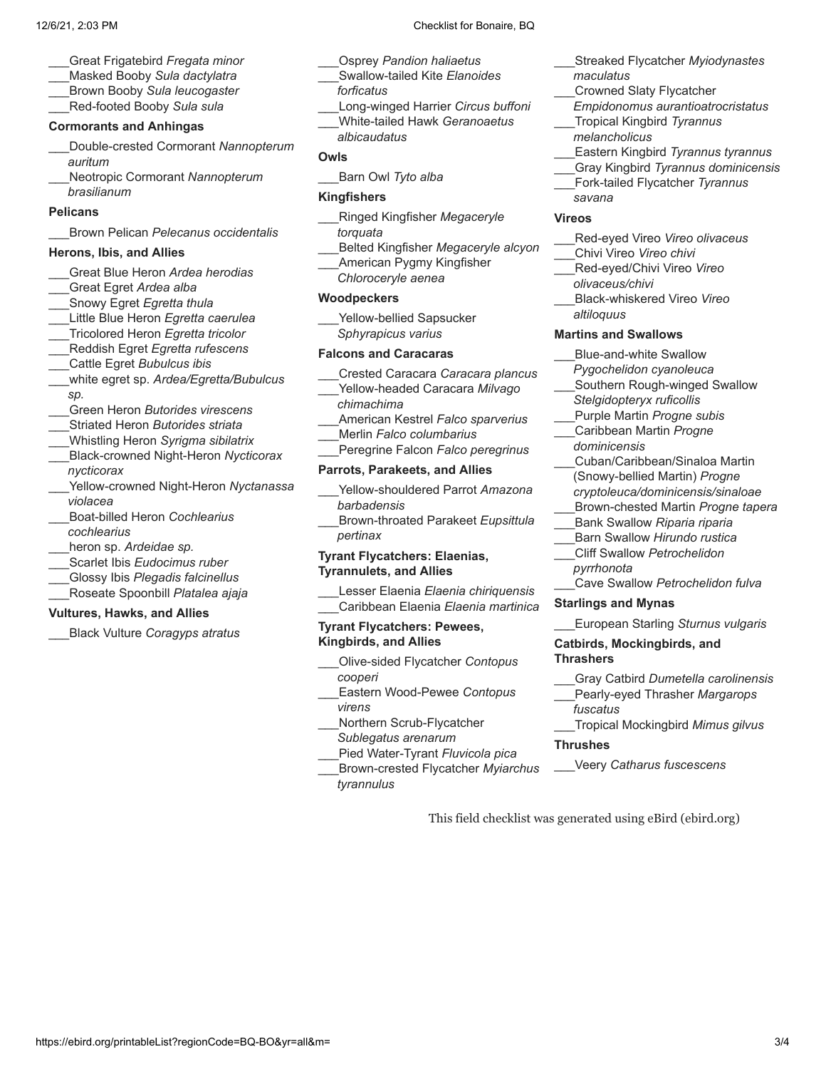- \_\_\_Great Frigatebird *Fregata minor*
- \_\_\_Masked Booby *Sula dactylatra*
- \_\_\_Brown Booby *Sula leucogaster*
- \_\_\_Red-footed Booby *Sula sula*

# **Cormorants and Anhingas**

- \_\_\_Double-crested Cormorant *Nannopterum auritum*
- \_\_\_Neotropic Cormorant *Nannopterum brasilianum*

### **Pelicans**

\_\_\_Brown Pelican *Pelecanus occidentalis*

### **Herons, Ibis, and Allies**

- \_\_\_Great Blue Heron *Ardea herodias*
- \_\_\_Great Egret *Ardea alba*
- \_\_\_Snowy Egret *Egretta thula*
- \_\_\_Little Blue Heron *Egretta caerulea*
- \_\_\_Tricolored Heron *Egretta tricolor*
- \_\_\_Reddish Egret *Egretta rufescens* \_\_\_Cattle Egret *Bubulcus ibis*
- \_\_\_white egret sp. *Ardea/Egretta/Bubulcus*
- *sp.*
- \_\_\_Green Heron *Butorides virescens*
- \_\_\_Striated Heron *Butorides striata*
- \_\_\_Whistling Heron *Syrigma sibilatrix* \_\_\_Black-crowned Night-Heron *Nycticorax nycticorax*
- \_\_\_Yellow-crowned Night-Heron *Nyctanassa violacea*
- \_\_\_Boat-billed Heron *Cochlearius*
- *cochlearius*
- \_\_\_heron sp. *Ardeidae sp.*
- \_\_\_Scarlet Ibis *Eudocimus ruber*
- \_\_\_Glossy Ibis *Plegadis falcinellus*
- \_\_\_Roseate Spoonbill *Platalea ajaja*

### **Vultures, Hawks, and Allies**

\_\_\_Black Vulture *Coragyps atratus*

- \_\_\_Osprey *Pandion haliaetus*
- \_\_\_Swallow-tailed Kite *Elanoides forficatus*
- \_\_\_Long-winged Harrier *Circus buffoni* \_\_\_White-tailed Hawk *Geranoaetus*
- *albicaudatus*

# **Owls**

\_\_\_Barn Owl *Tyto alba*

### **Kingfishers**

- \_\_\_Ringed Kingfisher *Megaceryle torquata*
- \_\_\_Belted Kingfisher *Megaceryle alcyon*
- \_\_\_American Pygmy Kingfisher *Chloroceryle aenea*

### **Woodpeckers**

Yellow-bellied Sapsucker *Sphyrapicus varius*

### **Falcons and Caracaras**

- \_\_\_Crested Caracara *Caracara plancus*
- \_\_\_Yellow-headed Caracara *Milvago*
- *chimachima*
- \_\_\_American Kestrel *Falco sparverius*
- \_\_\_Merlin *Falco columbarius*
- \_\_\_Peregrine Falcon *Falco peregrinus*

# **Parrots, Parakeets, and Allies**

- \_\_\_Yellow-shouldered Parrot *Amazona barbadensis*
- \_\_\_Brown-throated Parakeet *Eupsittula pertinax*

### **Tyrant Flycatchers: Elaenias, Tyrannulets, and Allies**

\_\_\_Lesser Elaenia *Elaenia chiriquensis* \_\_\_Caribbean Elaenia *Elaenia martinica*

### **Tyrant Flycatchers: Pewees, Kingbirds, and Allies**

- \_\_\_Olive-sided Flycatcher *Contopus cooperi*
- \_\_\_Eastern Wood-Pewee *Contopus virens*
- \_\_\_Northern Scrub-Flycatcher *Sublegatus arenarum*
- \_\_\_Pied Water-Tyrant *Fluvicola pica*
- \_\_\_Brown-crested Flycatcher *Myiarchus tyrannulus*
- \_\_\_Streaked Flycatcher *Myiodynastes*
- *maculatus*
- \_\_\_Crowned Slaty Flycatcher
- *Empidonomus aurantioatrocristatus* \_\_\_Tropical Kingbird *Tyrannus*
- *melancholicus*
- \_\_\_Eastern Kingbird *Tyrannus tyrannus*
- \_\_\_Gray Kingbird *Tyrannus dominicensis*
- \_\_\_Fork-tailed Flycatcher *Tyrannus*

# **Vireos**

*savana*

- \_\_\_Red-eyed Vireo *Vireo olivaceus*
- \_\_\_Chivi Vireo *Vireo chivi*
- \_\_\_Red-eyed/Chivi Vireo *Vireo olivaceus/chivi*
- \_\_\_Black-whiskered Vireo *Vireo altiloquus*

### **Martins and Swallows**

- \_\_\_Blue-and-white Swallow
- *Pygochelidon cyanoleuca*
- Southern Rough-winged Swallow *Stelgidopteryx ruficollis*
- \_\_\_Purple Martin *Progne subis* \_\_\_Caribbean Martin *Progne*
	- *dominicensis*
- \_\_\_Cuban/Caribbean/Sinaloa Martin (Snowy-bellied Martin) *Progne cryptoleuca/dominicensis/sinaloae*
- \_\_\_Brown-chested Martin *Progne tapera*
- \_\_\_Bank Swallow *Riparia riparia*
- \_\_\_Barn Swallow *Hirundo rustica*
- \_\_\_Cliff Swallow *Petrochelidon pyrrhonota*
- \_\_\_Cave Swallow *Petrochelidon fulva*
- **Starlings and Mynas**
- \_\_\_European Starling *Sturnus vulgaris*

### **Catbirds, Mockingbirds, and Thrashers**

- \_\_\_Gray Catbird *Dumetella carolinensis*
- \_\_\_Pearly-eyed Thrasher *Margarops fuscatus*
- \_\_\_Tropical Mockingbird *Mimus gilvus*

### **Thrushes**

\_\_\_Veery *Catharus fuscescens*

This field checklist was generated using eBird (ebird.org)